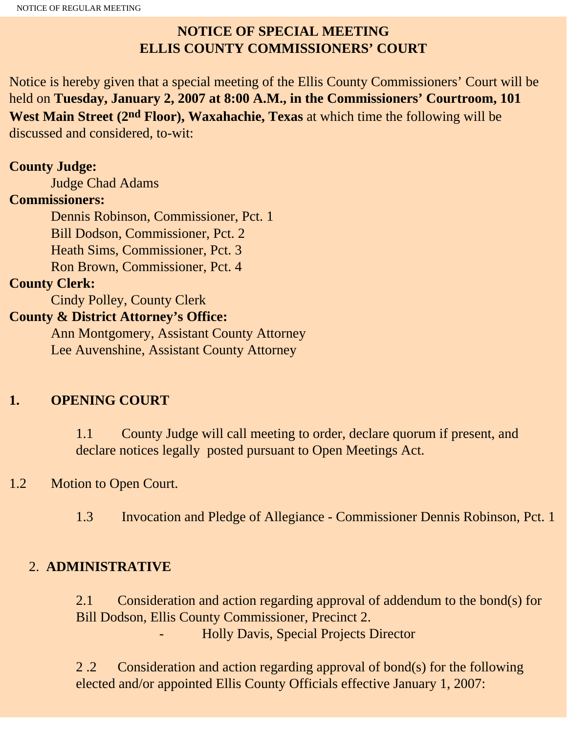# **NOTICE OF SPECIAL MEETING ELLIS COUNTY COMMISSIONERS' COURT**

Notice is hereby given that a special meeting of the Ellis County Commissioners' Court will be held on **Tuesday, January 2, 2007 at 8:00 A.M., in the Commissioners' Courtroom, 101 West Main Street (2nd Floor), Waxahachie, Texas** at which time the following will be discussed and considered, to-wit:

#### **County Judge:**

Judge Chad Adams

#### **Commissioners:**

 Dennis Robinson, Commissioner, Pct. 1 Bill Dodson, Commissioner, Pct. 2 Heath Sims, Commissioner, Pct. 3 Ron Brown, Commissioner, Pct. 4

### **County Clerk:**

Cindy Polley, County Clerk

### **County & District Attorney's Office:**

 Ann Montgomery, Assistant County Attorney Lee Auvenshine, Assistant County Attorney

## **1. OPENING COURT**

1.1 County Judge will call meeting to order, declare quorum if present, and declare notices legally posted pursuant to Open Meetings Act.

## 1.2 Motion to Open Court.

1.3 Invocation and Pledge of Allegiance - Commissioner Dennis Robinson, Pct. 1

## 2. **ADMINISTRATIVE**

2.1 Consideration and action regarding approval of addendum to the bond(s) for Bill Dodson, Ellis County Commissioner, Precinct 2. - Holly Davis, Special Projects Director

2 .2 Consideration and action regarding approval of bond(s) for the following elected and/or appointed Ellis County Officials effective January 1, 2007: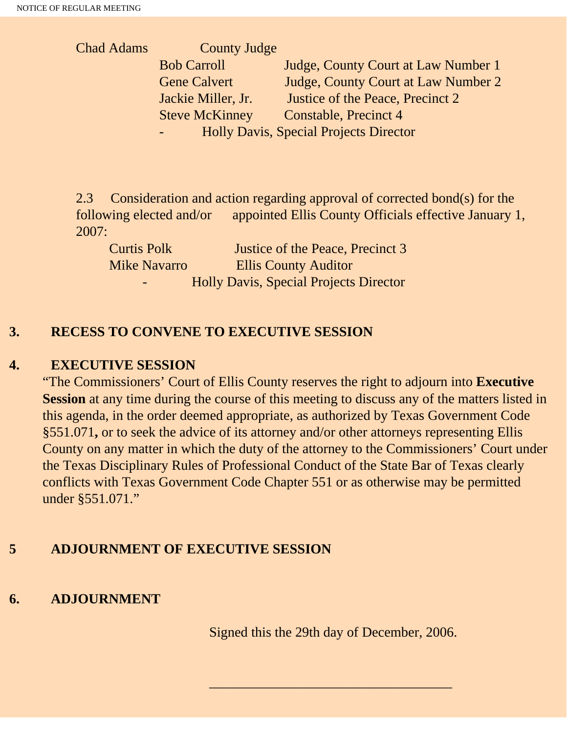Chad Adams County Judge Bob Carroll Judge, County Court at Law Number 1 Gene Calvert Judge, County Court at Law Number 2 Jackie Miller, Jr. Justice of the Peace, Precinct 2 Steve McKinney Constable, Precinct 4 - Holly Davis, Special Projects Director

2.3 Consideration and action regarding approval of corrected bond(s) for the following elected and/or appointed Ellis County Officials effective January 1, 2007:

| <b>Curtis Polk</b>       | Justice of the Peace, Precinct 3              |
|--------------------------|-----------------------------------------------|
| <b>Mike Navarro</b>      | <b>Ellis County Auditor</b>                   |
| $\overline{\phantom{0}}$ | <b>Holly Davis, Special Projects Director</b> |

### **3. RECESS TO CONVENE TO EXECUTIVE SESSION**

#### **4. EXECUTIVE SESSION**

"The Commissioners' Court of Ellis County reserves the right to adjourn into **Executive Session** at any time during the course of this meeting to discuss any of the matters listed in this agenda, in the order deemed appropriate, as authorized by Texas Government Code §551.071**,** or to seek the advice of its attorney and/or other attorneys representing Ellis County on any matter in which the duty of the attorney to the Commissioners' Court under the Texas Disciplinary Rules of Professional Conduct of the State Bar of Texas clearly conflicts with Texas Government Code Chapter 551 or as otherwise may be permitted under §551.071."

## **5 ADJOURNMENT OF EXECUTIVE SESSION**

### **6. ADJOURNMENT**

Signed this the 29th day of December, 2006.

 $\overline{\phantom{a}}$  , and the set of the set of the set of the set of the set of the set of the set of the set of the set of the set of the set of the set of the set of the set of the set of the set of the set of the set of the s